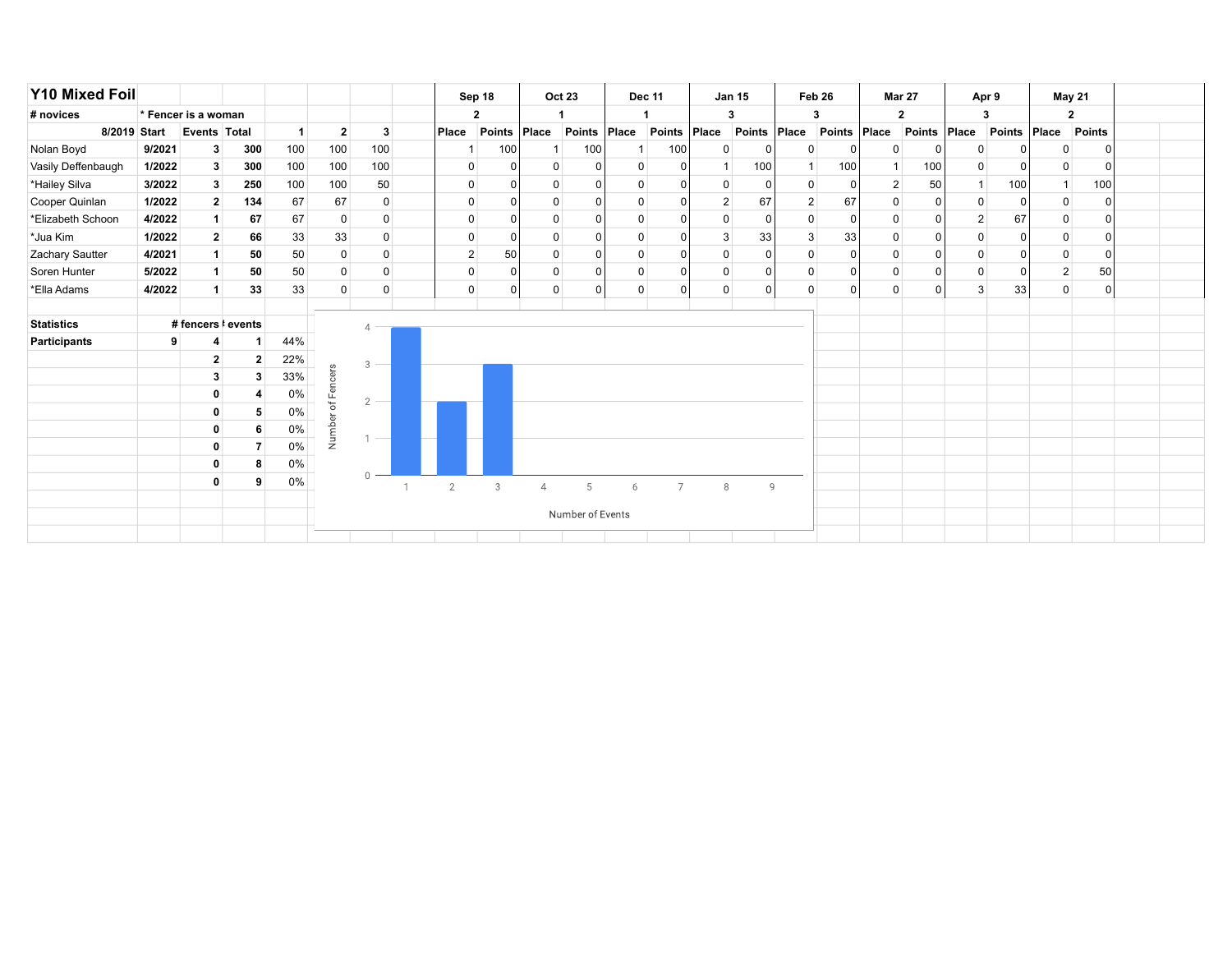| <b>Y10 Mixed Foil</b> |              |                     |                |                      |                |                |                | Sep 18        |             | <b>Oct 23</b>    |   | <b>Dec 11</b>  |                | <b>Jan 15</b> |                | Feb 26         |              | <b>Mar 27</b>  |                | Apr 9        |                | May 21       |  |
|-----------------------|--------------|---------------------|----------------|----------------------|----------------|----------------|----------------|---------------|-------------|------------------|---|----------------|----------------|---------------|----------------|----------------|--------------|----------------|----------------|--------------|----------------|--------------|--|
| # novices             |              | * Fencer is a woman |                |                      |                |                |                | $\mathbf{2}$  |             |                  |   |                |                | 3             |                | 3              |              | $\mathbf{2}$   |                | 3            |                | $\mathbf{2}$ |  |
|                       | 8/2019 Start | Events Total        |                | $\blacktriangleleft$ | $\overline{2}$ | 3              | Place          | <b>Points</b> | $ $ Place   | Points Place     |   | Points         | Place          | Points Place  |                | Points Place   |              | Points         | Place          | Points Place |                | Points       |  |
| Nolan Boyd            | 9/2021       | 3 <sup>1</sup>      | 300            | 100                  | 100            | 100            |                | 100           |             | 100              |   | 100            | $\overline{0}$ | $\Omega$      | 0              | $\mathbf{0}$   | 0            |                | $\mathbf 0$    |              |                | $\Omega$     |  |
| Vasily Deffenbaugh    | 1/2022       | 3 <sup>1</sup>      | 300            | 100                  | 100            | 100            | 0              |               | 0           |                  | 0 |                |                | 100           |                | 100            |              | 100            | $\overline{0}$ |              |                | $\Omega$     |  |
| *Hailey Silva         | 3/2022       | 3 <sup>1</sup>      | 250            | 100                  | 100            | 50             | $\mathbf 0$    | ŋ             | 0           |                  | 0 |                | $\overline{0}$ | $\Omega$      |                | 0              | 2            | 50             |                | 100          | $\mathbf{1}$   | 100          |  |
| Cooper Quinlan        | 1/2022       | $\mathbf{2}$        | 134            | 67                   | 67             | $\Omega$       | 0              | $\Omega$      | 0           | $\mathbf{0}$     | 0 |                | $\overline{2}$ | 67            | $\overline{2}$ | 67             | 0            | 0              | $\overline{0}$ |              | 0              | $\Omega$     |  |
| *Elizabeth Schoon     | 4/2022       |                     | 67             | 67                   | 0              | $\mathbf 0$    | 0              | $\Omega$      | $\mathbf 0$ | $\mathbf{0}$     | 0 |                | $\overline{0}$ | $\Omega$      |                | 0              | $\mathbf 0$  | $\Omega$       | $\overline{2}$ | 67           | $\mathbf 0$    | $\Omega$     |  |
| *Jua Kim              | 1/2022       | 2 <sup>1</sup>      | 66             | 33                   | 33             | $\mathbf 0$    | $\mathbf 0$    | $\Omega$      | 0           | $\Omega$         | 0 | O              | $\mathbf{3}$   | 33            | 3              | 33             | $\mathbf 0$  | $\overline{0}$ | $\mathbf 0$    | $\Omega$     | 0              | $\Omega$     |  |
| Zachary Sautter       | 4/2021       |                     | 50             | 50                   | 0              | 0              | 2 <sup>1</sup> | 50            | 0           | $\Omega$         | 0 |                | $\overline{0}$ | $\Omega$      |                | $\overline{0}$ | 0            | 0              | $\overline{0}$ |              | 0              | $\Omega$     |  |
| Soren Hunter          | 5/2022       |                     | 50             | 50                   | $\mathbf 0$    | 0              | $\mathbf 0$    | $\Omega$      | 0           |                  | 0 |                | $\overline{0}$ | 0             |                | 0              | $\mathbf 0$  | 0              | $\mathbf 0$    |              | $\overline{2}$ | 50           |  |
| *Ella Adams           | 4/2022       |                     | 33             | 33                   | $\Omega$       | $\Omega$       | $\mathbf 0$    | $\Omega$      | 0           | $\Omega$         | 0 | C              | $\overline{0}$ | $\Omega$      | $\Omega$       | $\mathbf{0}$   | $\mathbf{0}$ | C              | $\mathbf{3}$   | 33           | $\Omega$       | $\Omega$     |  |
|                       |              |                     |                |                      |                |                |                |               |             |                  |   |                |                |               |                |                |              |                |                |              |                |              |  |
| <b>Statistics</b>     |              | # fencers   events  |                |                      |                |                |                |               |             |                  |   |                |                |               |                |                |              |                |                |              |                |              |  |
| <b>Participants</b>   | 9            |                     |                | 44%                  |                |                |                |               |             |                  |   |                |                |               |                |                |              |                |                |              |                |              |  |
|                       |              | $\mathbf{2}$        | $\overline{2}$ | 22%                  |                | 3              |                |               |             |                  |   |                |                |               |                |                |              |                |                |              |                |              |  |
|                       |              | $\mathbf{3}$        | 3              | 33%                  | encers         |                |                |               |             |                  |   |                |                |               |                |                |              |                |                |              |                |              |  |
|                       |              | 0                   |                | 0%                   | 正              | $\overline{2}$ |                |               |             |                  |   |                |                |               |                |                |              |                |                |              |                |              |  |
|                       |              | 0                   | 5              | 0%                   | ð<br>ত         |                |                |               |             |                  |   |                |                |               |                |                |              |                |                |              |                |              |  |
|                       |              | 0                   | 6              | 0%                   | Numbe          | $\sim$         |                |               |             |                  |   |                |                |               |                |                |              |                |                |              |                |              |  |
|                       |              | 0                   |                | 0%                   |                |                |                |               |             |                  |   |                |                |               |                |                |              |                |                |              |                |              |  |
|                       |              | 0                   | 8              | $0\%$                |                |                |                |               |             |                  |   |                |                |               |                |                |              |                |                |              |                |              |  |
|                       |              | 0                   | 9              | 0%                   |                | $\bigcap$      | $\overline{2}$ | 3             |             | 5                | 6 | $\overline{7}$ | 8              | 9             |                |                |              |                |                |              |                |              |  |
|                       |              |                     |                |                      |                |                |                |               |             |                  |   |                |                |               |                |                |              |                |                |              |                |              |  |
|                       |              |                     |                |                      |                |                |                |               |             | Number of Events |   |                |                |               |                |                |              |                |                |              |                |              |  |
|                       |              |                     |                |                      |                |                |                |               |             |                  |   |                |                |               |                |                |              |                |                |              |                |              |  |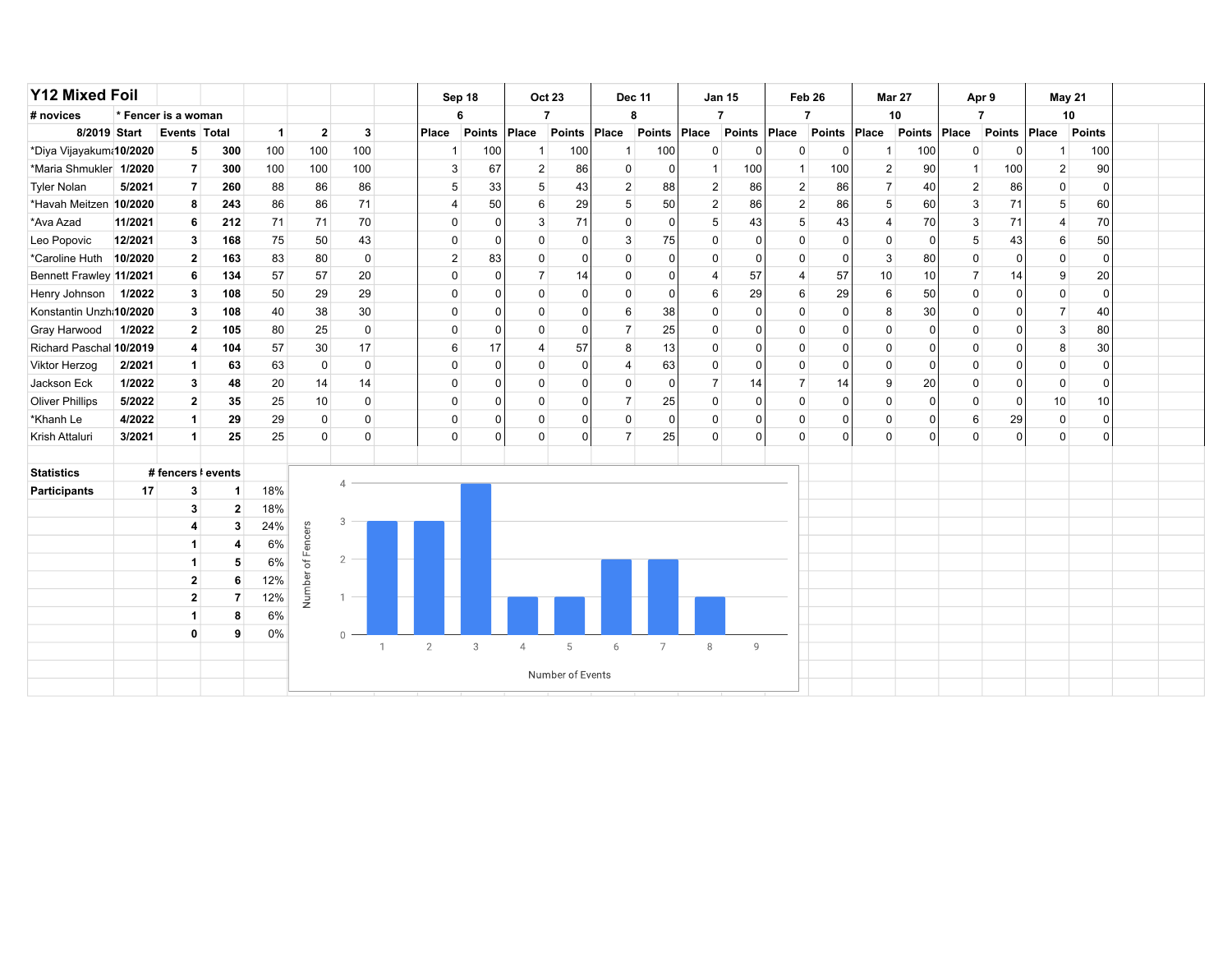| <b>Y12 Mixed Foil</b>   |         |                     |                |              |                    |                |              | Sep 18         |          |                | <b>Oct 23</b>    |                | <b>Dec 11</b>  | <b>Jan 15</b>  |          | Feb <sub>26</sub> |                | <b>Mar 27</b>  |                 | Apr 9          |          | May 21         |             |  |
|-------------------------|---------|---------------------|----------------|--------------|--------------------|----------------|--------------|----------------|----------|----------------|------------------|----------------|----------------|----------------|----------|-------------------|----------------|----------------|-----------------|----------------|----------|----------------|-------------|--|
| # novices               |         | * Fencer is a woman |                |              |                    |                |              | 6              |          |                | $\overline{7}$   |                | 8              | $\overline{7}$ |          |                   | $\overline{7}$ | 10             |                 | $\overline{7}$ |          |                | 10          |  |
| 8/2019 Start            |         | <b>Events Total</b> |                | $\mathbf{1}$ | $\mathbf 2$        | $\mathbf{3}$   |              | Place          | Points   | Place          | Points           | Place          | Points         | Place          | Points   | Place             | Points         | Place          | Points          | $ $ Place      | Points   | Place          | Points      |  |
| *Diya Vijayakum 10/2020 |         | 5                   | 300            | 100          | 100                | 100            |              | -1             | 100      | $\mathbf{1}$   | 100              | -1             | 100            | $\mathbf 0$    | ∩        | $\mathbf 0$       | $\Omega$       | $\overline{1}$ | 100             | $\mathbf 0$    | 0        | $\mathbf 1$    | 100         |  |
| *Maria Shmukler 1/2020  |         | $\overline{7}$      | 300            | 100          | 100                | 100            |              | 3              | 67       | $\overline{2}$ | 86               | $\Omega$       | $\Omega$       | $\overline{1}$ | 100      | $\mathbf{1}$      | 100            | $\overline{2}$ | 90              | $\mathbf{1}$   | 100      | $\overline{c}$ | 90          |  |
| <b>Tyler Nolan</b>      | 5/2021  | $\overline{7}$      | 260            | 88           | 86                 | 86             |              | 5              | 33       | 5              | 43               | $\overline{2}$ | 88             | $\overline{2}$ | 86       | $\overline{2}$    | 86             | $\overline{7}$ | 40 <sup>°</sup> | 2 <sup>1</sup> | 86       | $\mathbf 0$    | $\mathbf 0$ |  |
| *Havah Meitzen 10/2020  |         | 8                   | 243            | 86           | 86                 | 71             |              | $\overline{4}$ | 50       | 6              | 29               | 5              | 50             | $\overline{2}$ | 86       | $\overline{2}$    | 86             | 5              | 60              | 3              | 71       | 5              | 60          |  |
| *Ava Azad               | 11/2021 | 6                   | 212            | 71           | 71                 | 70             |              | $\mathbf 0$    | $\Omega$ | 3              | 71               | $\mathbf 0$    | $\Omega$       | 5              | 43       | 5                 | 43             | $\overline{4}$ | 70              | $\mathbf{3}$   | 71       | $\overline{4}$ | 70          |  |
| Leo Popovic             | 12/2021 | 3                   | 168            | 75           | 50                 | 43             |              | $\mathbf 0$    | $\Omega$ | $\mathbf{0}$   |                  | 3              | 75             | $\mathbf 0$    | $\Omega$ | $\mathbf 0$       | $\Omega$       | 0              | $\overline{0}$  | 5              | 43       | 6              | 50          |  |
| *Caroline Huth 10/2020  |         | $\mathbf{2}$        | 163            | 83           | 80                 | $\mathbf 0$    |              | 2              | 83       | $\mathbf{0}$   |                  | $\Omega$       | ∩              | $\mathbf 0$    | $\Omega$ | $\mathbf 0$       | $\Omega$       | 3              | 80              | $\mathbf 0$    | $\Omega$ | $\mathbf 0$    | $\mathbf 0$ |  |
| Bennett Frawley 11/2021 |         | 6                   | 134            | 57           | 57                 | 20             |              | $\mathbf 0$    | $\Omega$ | $\overline{7}$ | 14               | $\Omega$       |                | $\overline{4}$ | 57       | $\overline{4}$    | 57             | 10             | 10              | $\overline{7}$ | 14       | 9              | 20          |  |
| Henry Johnson           | 1/2022  | 3                   | 108            | 50           | 29                 | 29             |              | 0              | n        | 0              |                  | $\Omega$       | $\Omega$       | 6              | 29       | 6                 | 29             | 6              | 50              | $\overline{0}$ | 0        | $\mathbf 0$    | $\mathbf 0$ |  |
| Konstantin Unzh:10/2020 |         | 3                   | 108            | 40           | 38                 | 30             |              | $\mathbf 0$    | $\Omega$ | 0              |                  | 6              | 38             | 0              | $\Omega$ | $\mathbf 0$       | $\Omega$       | 8              | 30              | $\mathbf 0$    | 0        | $\overline{7}$ | 40          |  |
| Gray Harwood            | 1/2022  | $\overline{2}$      | 105            | 80           | 25                 | $\mathbf{0}$   |              | $\mathbf 0$    | 0        | $\mathbf 0$    | $\Omega$         | $\overline{7}$ | 25             | $\mathbf 0$    | $\Omega$ | $\mathbf 0$       | $\Omega$       | 0              | $\overline{0}$  | $\mathbf 0$    | $\Omega$ | 3              | 80          |  |
| Richard Paschal 10/2019 |         | 4                   | 104            | 57           | 30                 | 17             |              | 6              | 17       | 4              | 57               | 8              | 13             | $\mathbf 0$    | $\Omega$ | $\mathbf 0$       | $\Omega$       | $\mathbf 0$    | 0               | $\mathbf 0$    | $\Omega$ | 8              | 30          |  |
| Viktor Herzog           | 2/2021  | $\mathbf{1}$        | 63             | 63           | $\mathbf 0$        | $\mathbf 0$    |              | $\mathbf 0$    | n        | $\mathbf 0$    |                  | 4              | 63             | $\mathbf 0$    | $\Omega$ | $\mathbf 0$       | $\Omega$       | $\mathbf 0$    | $\overline{0}$  | $\mathbf 0$    | $\Omega$ | $\mathbf 0$    | 0           |  |
| Jackson Eck             | 1/2022  | 3                   | 48             | 20           | 14                 | 14             |              | $\mathbf 0$    | $\Omega$ | $\mathbf 0$    |                  | $\mathbf 0$    | $\Omega$       | $\overline{7}$ | 14       | $\overline{7}$    | 14             | 9              | 20              | $\mathbf 0$    | 0        | $\mathbf 0$    | 0           |  |
| <b>Oliver Phillips</b>  | 5/2022  | 2 <sup>1</sup>      | 35             | 25           | 10                 | $\mathbf{0}$   |              | $\mathbf 0$    | $\Omega$ | $\mathbf 0$    |                  | $\overline{7}$ | 25             | $\mathbf 0$    | $\Omega$ | $\mathbf 0$       | $\Omega$       | $\mathbf 0$    | $\overline{0}$  | $\mathbf 0$    | $\Omega$ | 10             | 10          |  |
| *Khanh Le               | 4/2022  | $\mathbf{1}$        | 29             | 29           | $\mathbf 0$        | $\mathbf{0}$   |              | $\mathbf 0$    | 0        | $\mathbf 0$    |                  | $\mathbf 0$    | $\Omega$       | $\mathbf 0$    | $\Omega$ | $\mathbf 0$       | $\mathbf 0$    | 0              | 0               | 6              | 29       | $\mathbf 0$    | $\mathbf 0$ |  |
| Krish Attaluri          | 3/2021  | 1                   | 25             | 25           | $\Omega$           | $\mathbf{0}$   |              | $\mathbf 0$    | $\Omega$ | $\mathbf 0$    |                  | $\overline{7}$ | 25             | $\mathbf 0$    | $\Omega$ | $\Omega$          | $\Omega$       | $\mathbf 0$    | 0               | $\mathbf 0$    | $\Omega$ | $\mathbf 0$    | 0           |  |
|                         |         |                     |                |              |                    |                |              |                |          |                |                  |                |                |                |          |                   |                |                |                 |                |          |                |             |  |
| <b>Statistics</b>       |         | # fencers ! events  |                |              |                    | 4              |              |                |          |                |                  |                |                |                |          |                   |                |                |                 |                |          |                |             |  |
| <b>Participants</b>     | 17      | 3                   | 1              | 18%          |                    |                |              |                |          |                |                  |                |                |                |          |                   |                |                |                 |                |          |                |             |  |
|                         |         | 3                   | $\mathbf{2}$   | 18%          |                    | 3              |              |                |          |                |                  |                |                |                |          |                   |                |                |                 |                |          |                |             |  |
|                         |         | 4                   | 3              | 24%          | Fencers            |                |              |                |          |                |                  |                |                |                |          |                   |                |                |                 |                |          |                |             |  |
|                         |         | $\mathbf 1$         | 4              | 6%           |                    |                |              |                |          |                |                  |                |                |                |          |                   |                |                |                 |                |          |                |             |  |
|                         |         | $\mathbf 1$         | 5              | 6%           | $\overline{\circ}$ | $\overline{2}$ |              |                |          |                |                  |                |                |                |          |                   |                |                |                 |                |          |                |             |  |
|                         |         | $\mathbf{2}$        | 6              | 12%          | Number             |                |              |                |          |                |                  |                |                |                |          |                   |                |                |                 |                |          |                |             |  |
|                         |         | $\mathbf{2}$        | $\overline{7}$ | 12%          |                    | $1 -$          |              |                |          |                |                  |                |                |                |          |                   |                |                |                 |                |          |                |             |  |
|                         |         | $\mathbf{1}$        | 8              | 6%           |                    |                |              |                |          |                |                  |                |                |                |          |                   |                |                |                 |                |          |                |             |  |
|                         |         | $\mathbf 0$         | 9              | 0%           |                    | $\overline{0}$ | $\mathbf{1}$ | $\overline{2}$ | 3        | $\overline{4}$ | 5                | 6              | $\overline{7}$ | 8              | 9        |                   |                |                |                 |                |          |                |             |  |
|                         |         |                     |                |              |                    |                |              |                |          |                |                  |                |                |                |          |                   |                |                |                 |                |          |                |             |  |
|                         |         |                     |                |              |                    |                |              |                |          |                | Number of Events |                |                |                |          |                   |                |                |                 |                |          |                |             |  |
|                         |         |                     |                |              |                    |                |              |                |          |                |                  |                |                |                |          |                   |                |                |                 |                |          |                |             |  |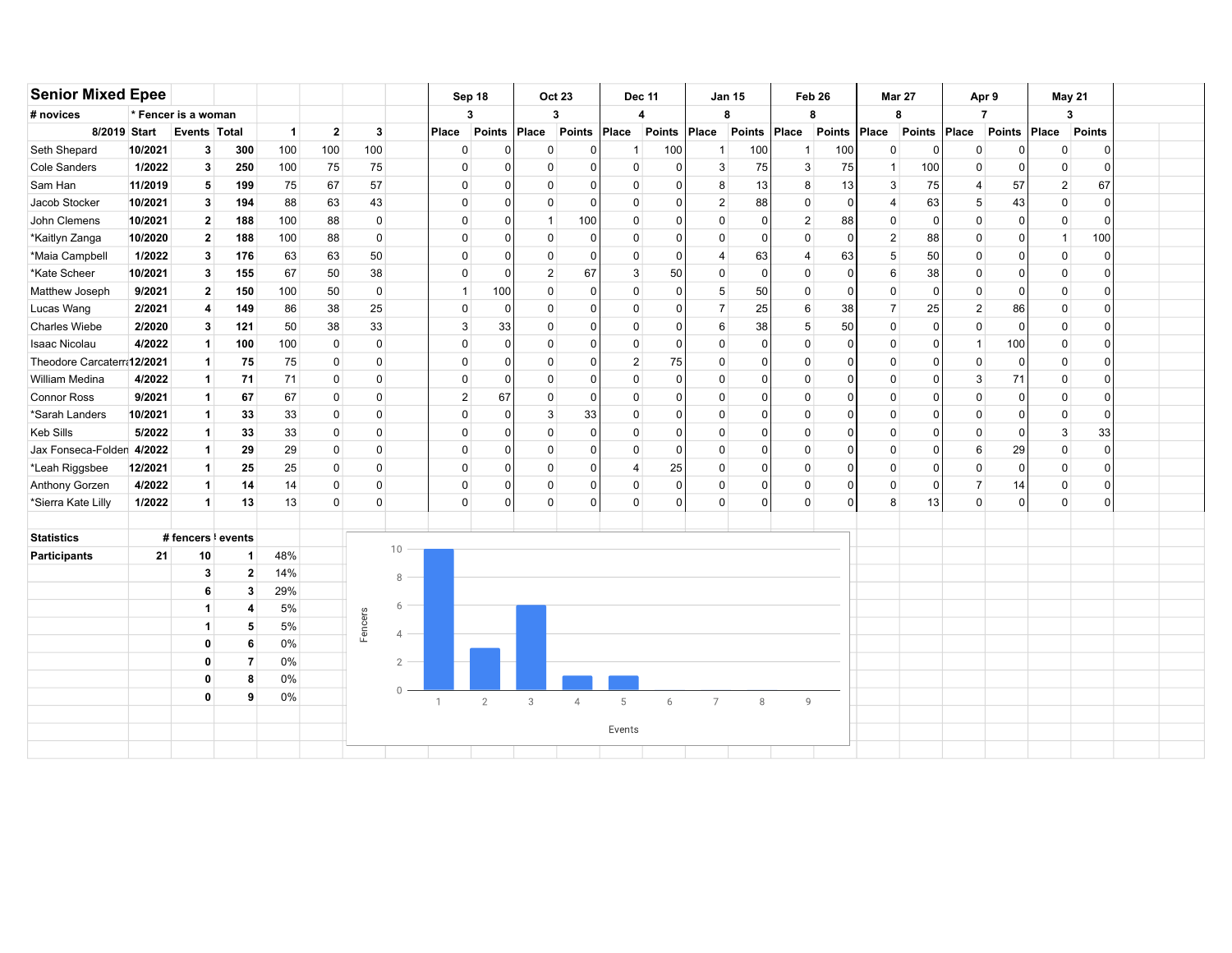| <b>Senior Mixed Epee</b>    |         |                           |                   |                |                |             |                | Sep 18         |                | <b>Oct 23</b>  |                | <b>Dec 11</b>  |               |                  | <b>Jan 15</b> | Feb 26         |               | <b>Mar 27</b>  |               | Apr 9          |               | May 21         |               |  |
|-----------------------------|---------|---------------------------|-------------------|----------------|----------------|-------------|----------------|----------------|----------------|----------------|----------------|----------------|---------------|------------------|---------------|----------------|---------------|----------------|---------------|----------------|---------------|----------------|---------------|--|
| # novices                   |         | * Fencer is a woman       |                   |                |                |             |                | 3              |                | 3              |                | 4              |               |                  | 8             | 8              |               | 8              |               | $\overline{7}$ |               | 3              |               |  |
| 8/2019 Start                |         | Events Total              |                   | $\overline{1}$ | $\overline{2}$ | 3           |                | Place          | Points         | Place          | Points         | Place          | <b>Points</b> | Place            | <b>Points</b> | Place          | <b>Points</b> | Place          | <b>Points</b> | Place          | <b>Points</b> | Place          | <b>Points</b> |  |
| Seth Shepard                | 10/2021 | 3                         | 300               | 100            | 100            | 100         |                | 0              | 0              | $\Omega$       |                | -1             | 100           | -1               | 100           | $\mathbf{1}$   | 100           | $\Omega$       | $\Omega$      | $\mathbf 0$    | $\Omega$      | $\Omega$       | $\mathbf 0$   |  |
| <b>Cole Sanders</b>         | 1/2022  | 3                         | 250               | 100            | 75             | 75          |                | $\mathbf 0$    | 0              | $\mathbf 0$    |                | 0              | 0             | $\mathbf{3}$     | 75            | 3              | 75            | 1              | 100           | $\mathbf 0$    | $\Omega$      | $\mathbf 0$    | $\mathbf 0$   |  |
| Sam Han                     | 11/2019 | 5                         | 199               | 75             | 67             | 57          |                | $\mathbf 0$    | $\mathbf 0$    | $\mathbf 0$    |                | $\mathbf 0$    | 0             | 8                | 13            | 8              | 13            | 3              | 75            | $\overline{4}$ | 57            | $\overline{2}$ | 67            |  |
| Jacob Stocker               | 10/2021 | 3                         | 194               | 88             | 63             | 43          |                | $\Omega$       | $\Omega$       | $\mathbf 0$    | $\Omega$       | $\Omega$       | $\Omega$      | $\overline{2}$   | 88            | $\mathbf 0$    | $\Omega$      | $\overline{4}$ | 63            | 5              | 43            | $\mathbf 0$    | $\mathbf 0$   |  |
| John Clemens                | 10/2021 | $\mathbf{2}$              | 188               | 100            | 88             | $\mathbf 0$ |                | $\Omega$       | 0              | $\overline{1}$ | 100            | $\mathbf 0$    | $\Omega$      | $\mathbf{0}$     | $\Omega$      | $\overline{2}$ | 88            | $\Omega$       | $\Omega$      | $\mathbf 0$    | $\Omega$      | 0              | $\mathbf 0$   |  |
| *Kaitlyn Zanga              | 10/2020 | $\mathbf{2}$              | 188               | 100            | 88             | 0           |                | $\Omega$       | 0              | 0              |                | $\mathbf 0$    | $\Omega$      | $\mathbf{0}$     | $\Omega$      | 0              | $\Omega$      | $\overline{2}$ | 88            | $\mathbf 0$    | $\Omega$      | -1             | 100           |  |
| *Maia Campbell              | 1/2022  | 3                         | 176               | 63             | 63             | 50          |                | $\mathbf 0$    | 0              | $\mathbf 0$    |                | 0              | $\Omega$      | $\overline{4}$   | 63            | $\overline{4}$ | 63            | 5              | 50            | $\mathbf 0$    | $\Omega$      | 0              | $\mathbf 0$   |  |
| *Kate Scheer                | 10/2021 | 3                         | 155               | 67             | 50             | 38          |                | $\mathbf 0$    | 0              | $\overline{2}$ | 67             | $\mathsf 3$    | 50            | $\mathbf 0$      | $\mathbf 0$   | 0              | $\Omega$      | 6              | 38            | $\mathbf 0$    | $\Omega$      | 0              | $\mathbf 0$   |  |
| Matthew Joseph              | 9/2021  | $\mathbf{2}$              | 150               | 100            | 50             | $\mathbf 0$ |                | $\overline{1}$ | 100            | $\mathbf 0$    | n              | $\pmb{0}$      | $\Omega$      | $5\phantom{.0}$  | 50            | 0              | 0             | 0              | $\mathbf 0$   | $\mathbf 0$    | $\Omega$      | 0              | $\mathbf 0$   |  |
| Lucas Wang                  | 2/2021  | 4                         | 149               | 86             | 38             | 25          |                | $\Omega$       | $\mathbf 0$    | $\mathbf 0$    |                | $\mathbf 0$    | 0             | $\overline{7}$   | 25            | 6              | 38            | $\overline{7}$ | 25            | $\overline{2}$ | 86            | $\Omega$       | $\mathbf 0$   |  |
| <b>Charles Wiebe</b>        | 2/2020  | 3                         | 121               | 50             | 38             | 33          |                | 3              | 33             | $\mathbf 0$    | n              | $\mathbf 0$    | $\Omega$      | $6 \overline{6}$ | 38            | 5              | 50            | $\mathbf 0$    | $\Omega$      | $\mathbf 0$    | $\Omega$      | $\Omega$       | $\mathbf 0$   |  |
| <b>Isaac Nicolau</b>        | 4/2022  | $\mathbf{1}$              | 100               | 100            | $\mathbf 0$    | $\mathbf 0$ |                | $\Omega$       | $\mathbf 0$    | $\mathbf 0$    |                | 0              | $\Omega$      | $\mathbf{0}$     | 0             | $\mathbf 0$    | 0             | $\Omega$       | $\Omega$      | $\overline{1}$ | 100           | 0              | 0             |  |
| Theodore Carcaterr: 12/2021 |         | $\mathbf{1}$              | 75                | 75             | $\mathbf 0$    | 0           |                | $\Omega$       | $\Omega$       | 0              |                | $\overline{2}$ | 75            | $\mathbf{0}$     | $\Omega$      | 0              | <sup>0</sup>  | 0              | $\Omega$      | 0              | $\Omega$      | $\Omega$       | 0             |  |
| William Medina              | 4/2022  | $\mathbf{1}$              | 71                | 71             | 0              | 0           |                | $\mathbf 0$    | $\Omega$       | $\mathbf 0$    |                | $\mathbf 0$    | 0             | $\mathbf 0$      | $\Omega$      | 0              | <sup>0</sup>  | 0              | $\Omega$      | 3              | 71            | 0              | $\mathbf 0$   |  |
| <b>Connor Ross</b>          | 9/2021  | $\mathbf{1}$              | 67                | 67             | $\pmb{0}$      | 0           |                | $\sqrt{2}$     | 67             | $\mathbf 0$    | $\Omega$       | $\mathbf 0$    | $\Omega$      | $\mathbf 0$      | $\Omega$      | 0              | $\Omega$      | 0              | $\Omega$      | $\mathbf 0$    | $\Omega$      | $\mathbf 0$    | $\mathbf 0$   |  |
| *Sarah Landers              | 10/2021 | 1                         | 33                | 33             | $\pmb{0}$      | 0           |                | $\mathbf 0$    | $\mathbf 0$    | 3              | 33             | $\Omega$       | $\Omega$      | $\mathbf 0$      | $\Omega$      | $\mathbf 0$    | 0             | $\Omega$       | $\Omega$      | $\Omega$       | $\Omega$      | $\mathbf 0$    | $\mathbf 0$   |  |
| <b>Keb Sills</b>            | 5/2022  | $\mathbf 1$               | 33                | 33             | 0              | $\Omega$    |                | $\Omega$       | 0              | $\Omega$       |                | $\Omega$       | $\Omega$      | $\mathbf{0}$     | $\Omega$      | $\Omega$       | $\Omega$      | $\Omega$       | $\Omega$      | $\Omega$       | $\Omega$      | 3              | 33            |  |
| Jax Fonseca-Folden 4/2022   |         | -1                        | 29                | 29             | $\mathbf 0$    | $\mathbf 0$ |                | $\Omega$       | 0              | $\Omega$       |                | $\Omega$       | $\Omega$      | $\mathbf{0}$     | $\Omega$      | $\mathbf 0$    | $\Omega$      | $\Omega$       | $\Omega$      | 6              | 29            | $\Omega$       | $\mathbf 0$   |  |
| *Leah Riggsbee              | 12/2021 | -1                        | 25                | 25             | 0              | 0           |                | 0              | 0              | $\Omega$       |                | 4              | 25            | $\mathbf{0}$     | $\Omega$      | 0              | <sup>0</sup>  | 0              | $\Omega$      | $\Omega$       | $\Omega$      | 0              | 0             |  |
| Anthony Gorzen              | 4/2022  | $\mathbf 1$               | 14                | 14             | 0              | 0           |                | $\mathbf 0$    | 0              | $\mathbf 0$    | $\Omega$       | 0              | $\Omega$      | $\mathbf 0$      | $\Omega$      | 0              | $\Omega$      | 0              | $\Omega$      | $\overline{7}$ | 14            | 0              | 0             |  |
| *Sierra Kate Lilly          | 1/2022  | $\mathbf{1}$              | 13                | 13             | $\pmb{0}$      | 0           |                | $\mathbf 0$    | 0              | $\mathbf 0$    | $\Omega$       | $\mathbf 0$    | $\Omega$      | $\mathbf 0$      | 0             | 0              | $\Omega$      | 8              | 13            | $\mathbf 0$    | $\Omega$      | $\mathbf 0$    | $\mathsf 0$   |  |
|                             |         |                           |                   |                |                |             |                |                |                |                |                |                |               |                  |               |                |               |                |               |                |               |                |               |  |
| <b>Statistics</b>           |         | # fencers <i>k</i> events |                   |                |                |             | 10             |                |                |                |                |                |               |                  |               |                |               |                |               |                |               |                |               |  |
| <b>Participants</b>         | 21      | 10                        | $\mathbf{1}$      | 48%            |                |             |                |                |                |                |                |                |               |                  |               |                |               |                |               |                |               |                |               |  |
|                             |         | 3<br>6                    | $\mathbf{2}$<br>3 | 14%<br>29%     |                |             | 8              |                |                |                |                |                |               |                  |               |                |               |                |               |                |               |                |               |  |
|                             |         | -1                        | 4                 | 5%             |                |             | 6              |                |                |                |                |                |               |                  |               |                |               |                |               |                |               |                |               |  |
|                             |         | $\mathbf{1}$              | 5                 | 5%             |                | Fencers     |                |                |                |                |                |                |               |                  |               |                |               |                |               |                |               |                |               |  |
|                             |         | $\mathbf 0$               | 6                 | $0\%$          |                |             | $\overline{4}$ |                |                |                |                |                |               |                  |               |                |               |                |               |                |               |                |               |  |
|                             |         | $\mathbf{0}$              | $\overline{7}$    | 0%             |                |             | 2              |                |                |                |                |                |               |                  |               |                |               |                |               |                |               |                |               |  |
|                             |         | 0                         | 8                 | 0%             |                |             |                |                |                |                |                |                |               |                  |               |                |               |                |               |                |               |                |               |  |
|                             |         | 0                         | 9                 | 0%             |                |             | $\cap$         |                |                |                |                |                |               |                  |               |                |               |                |               |                |               |                |               |  |
|                             |         |                           |                   |                |                |             |                | $\mathbf{1}$   | $\overline{2}$ | $_{3}$         | $\overline{4}$ | 5              | 6             | $\overline{7}$   | 8             | 9              |               |                |               |                |               |                |               |  |
|                             |         |                           |                   |                |                |             |                |                |                |                |                | Events         |               |                  |               |                |               |                |               |                |               |                |               |  |
|                             |         |                           |                   |                |                |             |                |                |                |                |                |                |               |                  |               |                |               |                |               |                |               |                |               |  |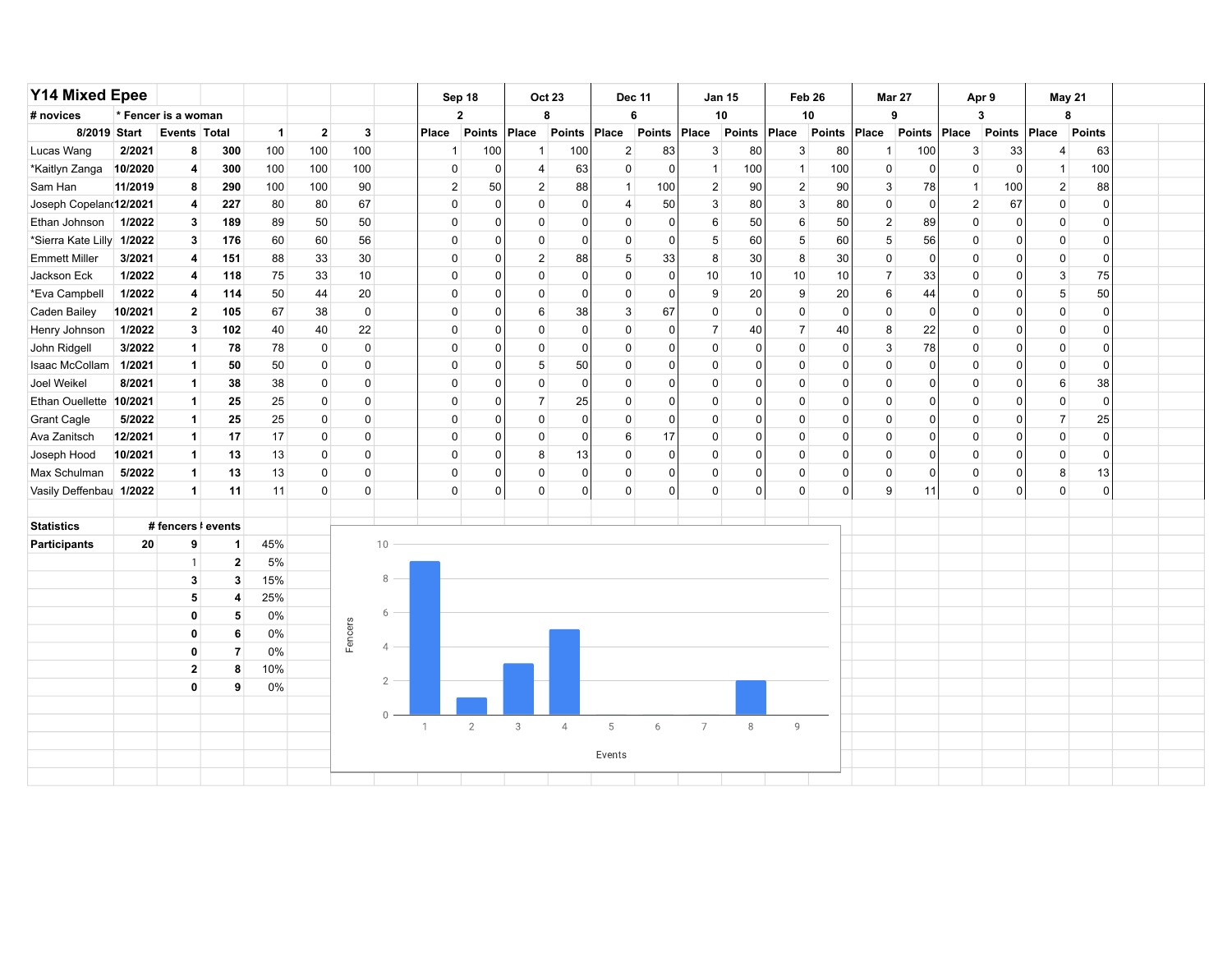| <b>Y14 Mixed Epee</b>     |              |                         |                |              |                         |             |                |              | Sep 18         |                | <b>Oct 23</b>  | <b>Dec 11</b>  |             |                | <b>Jan 15</b> | Feb 26         |             | <b>Mar 27</b>    |             |                | Apr 9         |                | May 21         |  |
|---------------------------|--------------|-------------------------|----------------|--------------|-------------------------|-------------|----------------|--------------|----------------|----------------|----------------|----------------|-------------|----------------|---------------|----------------|-------------|------------------|-------------|----------------|---------------|----------------|----------------|--|
| # novices                 |              | * Fencer is a woman     |                |              |                         |             |                |              | $\overline{2}$ |                | 8              |                | 6           |                | 10            | 10             |             |                  | 9           |                | 3             |                | 8              |  |
|                           | 8/2019 Start | Events Total            |                | $\mathbf{1}$ | $\overline{\mathbf{2}}$ | 3           |                | Place        | Points         | Place          | Points         | Place          | Points      | Place          | Points        | Place          | Points      | Place            | Points      | Place          | <b>Points</b> | Place          | Points         |  |
| Lucas Wang                | 2/2021       | 8                       | 300            | 100          | 100                     | 100         |                | 1            | 100            | $\mathbf{1}$   | 100            | $\overline{2}$ | 83          | 3              | 80            | 3              | 80          | 1                | 100         | 3              | 33            | 4              | 63             |  |
| *Kaitlyn Zanga            | 10/2020      | 4                       | 300            | 100          | 100                     | 100         |                | 0            | 0              | $\overline{4}$ | 63             | 0              | $\mathbf 0$ | $\mathbf{1}$   | 100           | $\mathbf{1}$   | 100         | 0                | $\mathbf 0$ | $\mathbf 0$    | $\mathbf{0}$  | $\mathbf{1}$   | 100            |  |
| Sam Han                   | 11/2019      | 8                       | 290            | 100          | 100                     | 90          |                | 2            | 50             | $\overline{2}$ | 88             | $\mathbf{1}$   | 100         | $\overline{2}$ | 90            | $\overline{2}$ | 90          | 3                | 78          | $\mathbf{1}$   | 100           | $\overline{2}$ | 88             |  |
| Joseph Copeland12/2021    |              | 4                       | 227            | 80           | 80                      | 67          |                | 0            | 0              | 0              | $\Omega$       | 4              | 50          | 3              | 80            | 3              | 80          | $\pmb{0}$        | $\Omega$    | $\overline{2}$ | 67            | $\mathbf 0$    | $\mathbf 0$    |  |
| Ethan Johnson             | 1/2022       | 3                       | 189            | 89           | 50                      | 50          |                | 0            | $\Omega$       | 0              | $\Omega$       | 0              | 0           | 6              | 50            | 6              | 50          | $\boldsymbol{2}$ | 89          | 0              | 0             | 0              | $\mathbf 0$    |  |
| *Sierra Kate Lilly 1/2022 |              | 3                       | 176            | 60           | 60                      | 56          |                | 0            | $\Omega$       | 0              | $\Omega$       | 0              | 0           | 5              | 60            | 5              | 60          | 5                | 56          | 0              | 0             | 0              | 0              |  |
| <b>Emmett Miller</b>      | 3/2021       | 4                       | 151            | 88           | 33                      | 30          |                | 0            | $\Omega$       | $\overline{2}$ | 88             | 5              | 33          | 8              | 30            | 8              | 30          | $\pmb{0}$        | $\mathbf 0$ | $\mathbf 0$    | 0             | 0              | $\mathbf 0$    |  |
| Jackson Eck               | 1/2022       | 4                       | 118            | 75           | 33                      | 10          |                | 0            | $\Omega$       | 0              | $\mathbf 0$    | $\mathbf 0$    | 0           | 10             | 10            | 10             | 10          | $\overline{7}$   | 33          | $\mathbf{0}$   | 0             | 3              | 75             |  |
| *Eva Campbell             | 1/2022       | 4                       | 114            | 50           | 44                      | 20          |                | 0            | $\Omega$       | 0              | $\Omega$       | $\mathbf 0$    | 0           | 9              | 20            | 9              | 20          | 6                | 44          | $\mathbf 0$    | 0             | 5              | 50             |  |
| Caden Bailey              | 10/2021      | $\overline{\mathbf{2}}$ | 105            | 67           | 38                      | $\mathbf 0$ |                | 0            | 0              | 6              | 38             | 3              | 67          | 0              | $\mathbf 0$   | $\mathbf 0$    | $\mathbf 0$ | $\pmb{0}$        | $\mathbf 0$ | $\mathbf 0$    | $\mathbf 0$   | 0              | $\mathbf 0$    |  |
| Henry Johnson             | 1/2022       | 3                       | 102            | 40           | 40                      | 22          |                | 0            | $\Omega$       | 0              | $\mathbf 0$    | $\mathbf 0$    | $\mathbf 0$ | $\overline{7}$ | 40            | $\overline{7}$ | 40          | 8                | 22          | $\mathbf 0$    | 0             | $\mathbf 0$    | $\mathbf 0$    |  |
| John Ridgell              | 3/2022       | $\mathbf{1}$            | 78             | 78           | $\mathbf 0$             | $\mathbf 0$ |                | 0            | $\Omega$       | 0              | $\Omega$       | $\mathbf 0$    | 0           | 0              | 0             | $\mathbf 0$    | $\Omega$    | $\mathbf{3}$     | 78          | 0              | 0             | $\mathsf 0$    | $\mathbf 0$    |  |
| Isaac McCollam            | 1/2021       | $\mathbf{1}$            | 50             | 50           | 0                       | 0           |                | 0            | $\Omega$       | 5              | 50             | $\mathbf 0$    | $\mathbf 0$ | $\mathbf 0$    | $\mathbf 0$   | $\mathbf 0$    | 0           | $\pmb{0}$        | $\mathbf 0$ | $\mathbf 0$    | $\mathbf 0$   | $\mathbf 0$    | $\overline{0}$ |  |
| Joel Weikel               | 8/2021       | $\overline{1}$          | 38             | 38           | 0                       | 0           |                | 0            | 0              | 0              | $\mathbf 0$    | $\mathbf 0$    | 0           | 0              | $\mathbf 0$   | $\mathbf 0$    | 0           | 0                | 0           | $\mathbf 0$    | 0             | 6              | 38             |  |
| Ethan Ouellette 10/2021   |              | $\overline{1}$          | 25             | 25           | 0                       | 0           |                | 0            | $\Omega$       | $\overline{7}$ | 25             | $\mathbf 0$    | 0           | $\mathbf 0$    | $\mathbf 0$   | $\mathbf 0$    | $\Omega$    | $\pmb{0}$        | $\Omega$    | $\Omega$       | $\mathbf 0$   | $\mathsf 0$    | $\mathbf 0$    |  |
| <b>Grant Cagle</b>        | 5/2022       | $\vert$ 1               | 25             | 25           | 0                       | 0           |                | 0            | $\Omega$       | 0              | $\Omega$       | $\mathbf 0$    | $\mathbf 0$ | $\mathbf 0$    | $\Omega$      | $\mathbf 0$    | $\Omega$    | $\mathbf 0$      | $\Omega$    | $\mathbf 0$    | $\mathbf 0$   | $\overline{7}$ | 25             |  |
| Ava Zanitsch              | 12/2021      | $\mathbf{1}$            | 17             | 17           | 0                       | 0           |                | 0            | $\Omega$       | 0              | $\Omega$       | 6              | 17          | 0              | $\Omega$      | $\mathbf 0$    | $\Omega$    | 0                | $\Omega$    | $\mathbf 0$    | 0             | 0              | $\mathbf 0$    |  |
| Joseph Hood               | 10/2021      | $\mathbf{1}$            | 13             | 13           | $\mathbf 0$             | 0           |                | 0            | $\Omega$       | 8              | 13             | $\mathbf 0$    | $\mathbf 0$ | 0              | $\Omega$      | $\mathbf 0$    | $\Omega$    | $\pmb{0}$        | $\Omega$    | $\mathbf 0$    | $\Omega$      | 0              | $\mathbf 0$    |  |
| Max Schulman              | 5/2022       | $\mathbf{1}$            | 13             | 13           | 0                       | 0           |                | 0            | $\Omega$       | 0              | $\mathbf 0$    | $\mathbf 0$    | $\Omega$    | $\mathbf 0$    | $\mathbf 0$   | $\mathbf 0$    | $\Omega$    | $\pmb{0}$        | $\Omega$    | $\mathbf 0$    | 0             | 8              | 13             |  |
| Vasily Deffenbau 1/2022   |              | $\mathbf{1}$            | 11             | 11           | $\mathbf 0$             | $\mathbf 0$ |                | 0            | 0              | $\mathbf 0$    | $\mathbf 0$    | $\mathbf 0$    | 0           | $\mathbf 0$    | $\mathbf 0$   | $\mathbf 0$    | $\Omega$    | 9                | 11          | $\mathbf{0}$   | $\Omega$      | $\mathbf 0$    | $\overline{0}$ |  |
|                           |              |                         |                |              |                         |             |                |              |                |                |                |                |             |                |               |                |             |                  |             |                |               |                |                |  |
| <b>Statistics</b>         |              | # fencers   events      |                |              |                         |             |                |              |                |                |                |                |             |                |               |                |             |                  |             |                |               |                |                |  |
| Participants              | 20           | 9                       | 1              | 45%          |                         |             | 10             |              |                |                |                |                |             |                |               |                |             |                  |             |                |               |                |                |  |
|                           |              | $\overline{1}$          | $\mathbf{2}$   | 5%           |                         |             |                |              |                |                |                |                |             |                |               |                |             |                  |             |                |               |                |                |  |
|                           |              | $\mathbf{3}$            | 3              | 15%          |                         |             | 8              |              |                |                |                |                |             |                |               |                |             |                  |             |                |               |                |                |  |
|                           |              | 5                       | 4              | 25%          |                         |             |                |              |                |                |                |                |             |                |               |                |             |                  |             |                |               |                |                |  |
|                           |              | 0                       | 5              | 0%           |                         |             | 6              |              |                |                |                |                |             |                |               |                |             |                  |             |                |               |                |                |  |
|                           |              | $\mathbf{0}$            | 6              | 0%           |                         | Fencers     |                |              |                |                |                |                |             |                |               |                |             |                  |             |                |               |                |                |  |
|                           |              | $\mathbf{0}$            | $\overline{7}$ | 0%           |                         |             | $\overline{4}$ |              |                |                |                |                |             |                |               |                |             |                  |             |                |               |                |                |  |
|                           |              | $\mathbf{2}$            | 8              | 10%          |                         |             | $\mathcal{P}$  |              |                |                |                |                |             |                |               |                |             |                  |             |                |               |                |                |  |
|                           |              | $\mathbf{0}$            | 9              | 0%           |                         |             |                |              |                |                |                |                |             |                |               |                |             |                  |             |                |               |                |                |  |
|                           |              |                         |                |              |                         |             | $\cap$         |              |                |                |                |                |             |                |               |                |             |                  |             |                |               |                |                |  |
|                           |              |                         |                |              |                         |             |                | $\mathbf{1}$ | $\overline{2}$ | 3              | $\overline{4}$ | 5              | 6           | $\overline{7}$ | $\,8\,$       | $\overline{9}$ |             |                  |             |                |               |                |                |  |
|                           |              |                         |                |              |                         |             |                |              |                |                |                |                |             |                |               |                |             |                  |             |                |               |                |                |  |
|                           |              | Events                  |                |              |                         |             |                |              |                |                |                |                |             |                |               |                |             |                  |             |                |               |                |                |  |
|                           |              |                         |                |              |                         |             |                |              |                |                |                |                |             |                |               |                |             |                  |             |                |               |                |                |  |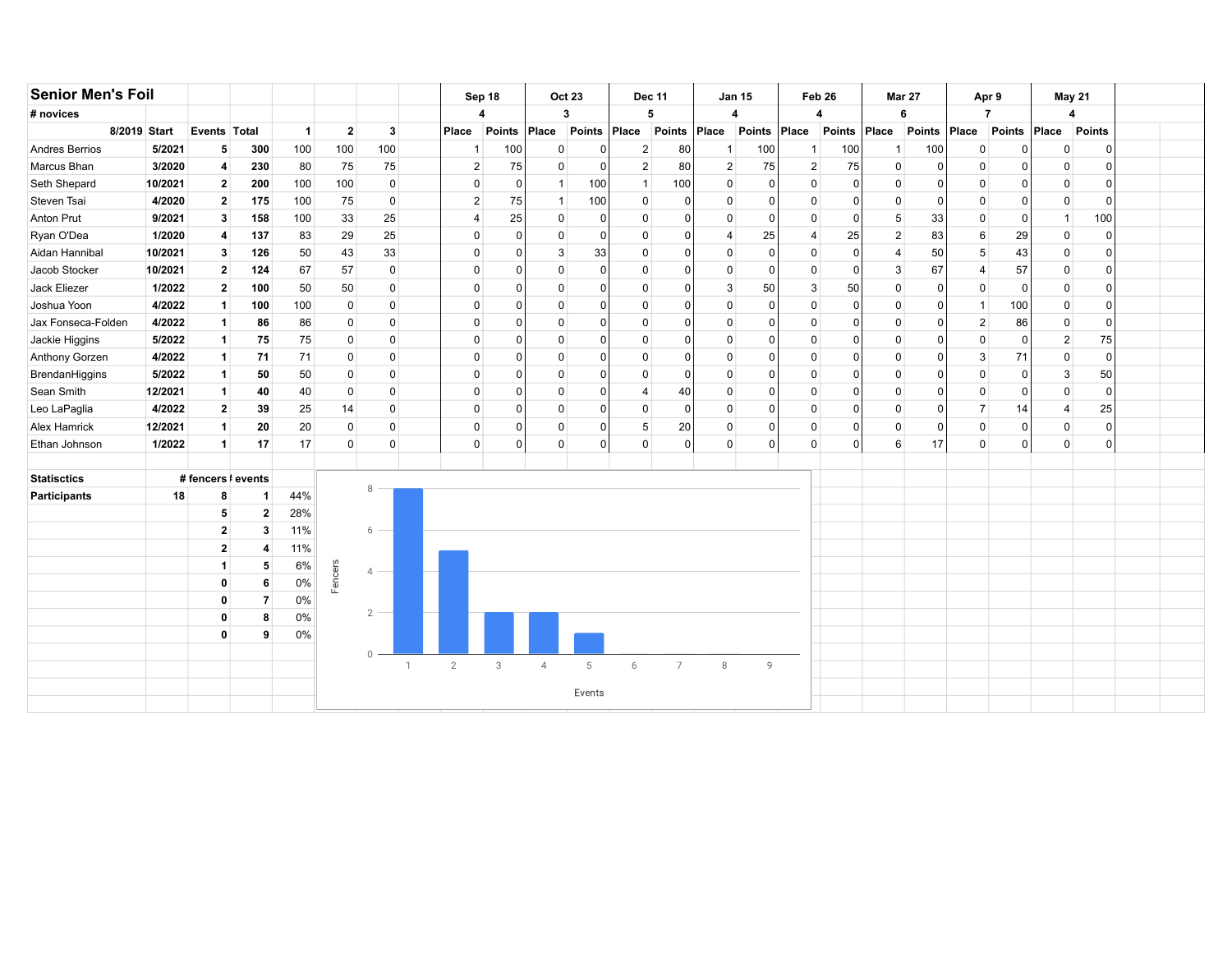| <b>Senior Men's Foil</b> |         |                    |              |                |                |                |              | Sep 18           |               |                | <b>Oct 23</b> | <b>Dec 11</b>  |                |                | <b>Jan 15</b> | Feb 26                  |               |                | <b>Mar 27</b> | Apr 9           |                | <b>May 21</b>  |                |  |
|--------------------------|---------|--------------------|--------------|----------------|----------------|----------------|--------------|------------------|---------------|----------------|---------------|----------------|----------------|----------------|---------------|-------------------------|---------------|----------------|---------------|-----------------|----------------|----------------|----------------|--|
| # novices                |         |                    |              |                |                |                |              | 4                |               | $\mathbf{3}$   |               |                | 5              |                | 4             | 4                       |               |                | 6             |                 | $\overline{7}$ | 4              |                |  |
| 8/2019 Start             |         | Events Total       |              | $\overline{1}$ | $\overline{2}$ | 3              |              | Place            | <b>Points</b> | Place          | <b>Points</b> | Place          | <b>Points</b>  | Place          | Points        | Place                   | <b>Points</b> | Place          | <b>Points</b> | Place           | Points         | Place          | <b>Points</b>  |  |
| Andres Berrios           | 5/2021  | 5                  | 300          | 100            | 100            | 100            |              | $\mathbf{1}$     | 100           | $\mathbf 0$    | 0             | $\overline{c}$ | 80             | $\mathbf 1$    | 100           | 1                       | 100           | -1             | 100           | $\mathbf 0$     |                | $\mathbf 0$    | ſ              |  |
| Marcus Bhan              | 3/2020  | 4                  | 230          | 80             | 75             | 75             |              | $\overline{2}$   | 75            | 0              | $\mathbf{0}$  | $\overline{2}$ | 80             | $\overline{2}$ | 75            | $\overline{\mathbf{c}}$ | 75            | $\Omega$       | 0             | $\mathbf 0$     |                | $\mathbf 0$    | ſ              |  |
| Seth Shepard             | 10/2021 | $\mathbf{2}$       | 200          | 100            | 100            | $\mathbf 0$    |              | 0                | $\Omega$      | -1             | 100           | $\mathbf{1}$   | 100            | $\mathbf 0$    | $\mathbf{C}$  | 0                       | $\Omega$      | $\Omega$       | 0             | $\mathbf 0$     |                | $\mathbf 0$    | <sup>0</sup>   |  |
| Steven Tsai              | 4/2020  | $\mathbf{2}$       | 175          | 100            | 75             | $\mathbf 0$    |              | $\boldsymbol{2}$ | 75            |                | 100           | 0              |                | $\mathbf 0$    | $\Omega$      | $\mathbf 0$             | $\Omega$      | $\mathbf 0$    | $\Omega$      | $\mathbf 0$     |                | $\mathbf 0$    | $\Omega$       |  |
| Anton Prut               | 9/2021  | 3                  | 158          | 100            | 33             | 25             |              | 4                | 25            | $\Omega$       | $\Omega$      | 0              |                | $\mathbf 0$    | $\Omega$      | $\mathbf 0$             | $\Omega$      | 5              | 33            | $\mathbf 0$     | n              | -1             | 100            |  |
| Ryan O'Dea               | 1/2020  | 4                  | 137          | 83             | 29             | 25             |              | $\mathbf 0$      | $\Omega$      | 0              | $\Omega$      | 0              |                | 4              | 25            | 4                       | 25            | $\overline{2}$ | 83            | 6               | 29             | $\mathbf 0$    | 0              |  |
| Aidan Hannibal           | 10/2021 | 3                  | 126          | 50             | 43             | 33             |              | 0                | $\Omega$      | 3              | 33            | $\mathbf 0$    |                | $\mathbf 0$    | $\mathbf{C}$  | $\mathbf 0$             | $\Omega$      | 4              | 50            | $5\phantom{.0}$ | 43             | $\mathbf 0$    | 0              |  |
| Jacob Stocker            | 10/2021 | $\mathbf{2}$       | 124          | 67             | 57             | $\mathbf 0$    |              | 0                | $\Omega$      | $\Omega$       | $\mathbf{0}$  | $\mathbf 0$    |                | $\mathbf 0$    | 0             | 0                       | $\Omega$      | 3              | 67            | $\overline{4}$  | 57             | $\mathbf{0}$   | 0              |  |
| Jack Eliezer             | 1/2022  | $\mathbf{2}$       | 100          | 50             | 50             | $\mathbf 0$    |              | 0                | $\Omega$      | $\Omega$       | $\mathbf{0}$  | $\mathbf 0$    |                | 3              | 50            | 3                       | 50            | $\mathbf{0}$   | $\Omega$      | $\mathbf 0$     | $\Omega$       | $\mathbf{0}$   | $\Omega$       |  |
| Joshua Yoon              | 4/2022  | $\mathbf{1}$       | 100          | 100            | $\mathbf 0$    | $\mathbf 0$    |              | 0                | $\Omega$      | $\Omega$       | $\mathbf{0}$  | $\mathbf 0$    |                | $\mathbf 0$    | $\Omega$      | $\mathbf 0$             | $\mathbf{0}$  | $\mathbf 0$    | 0             | $\overline{1}$  | 100            | $\mathbf 0$    | $\Omega$       |  |
| Jax Fonseca-Folden       | 4/2022  | $\vert$            | 86           | 86             | $\overline{0}$ | $\mathbf 0$    |              | 0                | $\Omega$      | $\Omega$       | $\mathbf{0}$  | $\mathbf 0$    |                | $\mathbf 0$    | $\Omega$      | $\mathbf 0$             | $\Omega$      | $\mathbf{0}$   | O             | $\overline{2}$  | 86             | $\mathbf 0$    | $\Omega$       |  |
| Jackie Higgins           | 5/2022  | $\mathbf{1}$       | 75           | 75             | $\overline{0}$ | $\mathbf 0$    |              | 0                | 0             | $\Omega$       | $\mathbf{0}$  | $\mathbf 0$    |                | $\mathbf 0$    | $\Omega$      | $\mathbf 0$             | $\mathbf 0$   | $\mathbf{0}$   | O             | $\mathbf 0$     | $\Omega$       | $\overline{2}$ | 75             |  |
| Anthony Gorzen           | 4/2022  | $\mathbf{1}$       | 71           | 71             | $\overline{0}$ | $\mathbf 0$    |              | 0                | $\mathbf 0$   | $\Omega$       | $\mathbf{0}$  | $\mathbf 0$    |                | $\mathbf 0$    | $\Omega$      | 0                       | $\mathbf 0$   | $\mathbf 0$    | $\Omega$      | 3               | 71             | $\mathbf 0$    | $\overline{0}$ |  |
| BrendanHiggins           | 5/2022  | $\mathbf{1}$       | 50           | 50             | $\overline{0}$ | $\mathbf 0$    |              | 0                | $\mathbf 0$   | $\Omega$       | $\Omega$      | $\mathbf 0$    |                | $\mathbf 0$    | 0             | $\mathbf 0$             | $\Omega$      | $\mathbf 0$    | $\Omega$      | $\mathbf 0$     | $\Omega$       | 3              | 50             |  |
| Sean Smith               | 12/2021 | $\mathbf{1}$       | 40           | 40             | $\mathbf 0$    | $\mathbf 0$    |              | 0                | $\mathbf 0$   | $\Omega$       | $\Omega$      | 4              | 40             | $\mathbf 0$    | 0             | $\mathbf 0$             | $\Omega$      | $\mathbf 0$    | $\Omega$      | $\mathbf 0$     | n              | $\mathbf 0$    | $\Omega$       |  |
| Leo LaPaglia             | 4/2022  | $\mathbf{2}$       | 39           | 25             | 14             | 0              |              | 0                | $\mathbf 0$   | $\Omega$       | $\mathbf{0}$  | $\mathbf 0$    | $\Omega$       | $\mathbf 0$    | $\Omega$      | 0                       | $\Omega$      | $\mathbf 0$    | 0             | $\overline{7}$  | 14             | 4              | 25             |  |
| Alex Hamrick             | 12/2021 | $\mathbf{1}$       | 20           | 20             | $\overline{0}$ | 0              |              | 0                | 0             | 0              | 0             | 5              | 20             | $\mathbf 0$    | $\Omega$      | 0                       | 0             | 0              | 0             | $\mathbf 0$     | <sup>0</sup>   | 0              | 0              |  |
| Ethan Johnson            | 1/2022  | $\mathbf{1}$       | 17           | 17             | $\mathbf 0$    | $\mathbf 0$    |              | 0                | $\mathbf 0$   | 0              | $\mathbf{0}$  | $\mathbf 0$    | <sup>0</sup>   | $\mathbf 0$    | $\Omega$      | $\mathbf{0}$            | $\mathbf 0$   | 6              | 17            | $\mathbf 0$     | <sup>n</sup>   | $\mathbf{0}$   | $\Omega$       |  |
|                          |         |                    |              |                |                |                |              |                  |               |                |               |                |                |                |               |                         |               |                |               |                 |                |                |                |  |
| <b>Statisctics</b>       |         | # fencers   events |              |                |                | 8              |              |                  |               |                |               |                |                |                |               |                         |               |                |               |                 |                |                |                |  |
| <b>Participants</b>      | 18      | 8                  | 1            | 44%            |                |                |              |                  |               |                |               |                |                |                |               |                         |               |                |               |                 |                |                |                |  |
|                          |         | 5                  | $\mathbf{2}$ | 28%            |                |                |              |                  |               |                |               |                |                |                |               |                         |               |                |               |                 |                |                |                |  |
|                          |         | $\mathbf{2}$       | 3            | 11%            |                | 6              |              |                  |               |                |               |                |                |                |               |                         |               |                |               |                 |                |                |                |  |
|                          |         | $\mathbf{2}$       | 4            | 11%            |                |                |              |                  |               |                |               |                |                |                |               |                         |               |                |               |                 |                |                |                |  |
|                          |         | -1                 | 5            | 6%             | Fencers        | $\overline{4}$ |              |                  |               |                |               |                |                |                |               |                         |               |                |               |                 |                |                |                |  |
|                          |         | 0                  | 6            | 0%             |                |                |              |                  |               |                |               |                |                |                |               |                         |               |                |               |                 |                |                |                |  |
|                          |         | 0                  | 7            | 0%             |                |                |              |                  |               |                |               |                |                |                |               |                         |               |                |               |                 |                |                |                |  |
|                          |         | 0                  | 8            | 0%             |                | $\overline{2}$ |              |                  |               |                |               |                |                |                |               |                         |               |                |               |                 |                |                |                |  |
|                          |         | $\mathbf{0}$       | 9            | 0%             |                |                |              |                  |               |                |               |                |                |                |               |                         |               |                |               |                 |                |                |                |  |
|                          |         |                    |              |                |                | $\bigcap$      |              |                  |               |                |               |                |                |                |               |                         |               |                |               |                 |                |                |                |  |
|                          |         |                    |              |                |                |                | $\mathbf{1}$ | $\overline{2}$   | $_{\rm 3}$    | $\overline{4}$ | 5             | 6              | $\overline{7}$ | 8              | 9             |                         |               |                |               |                 |                |                |                |  |
|                          |         |                    |              |                |                |                |              |                  |               |                | Events        |                |                |                |               |                         |               |                |               |                 |                |                |                |  |
|                          |         |                    |              |                |                |                |              |                  |               |                |               |                |                |                |               |                         |               |                |               |                 |                |                |                |  |